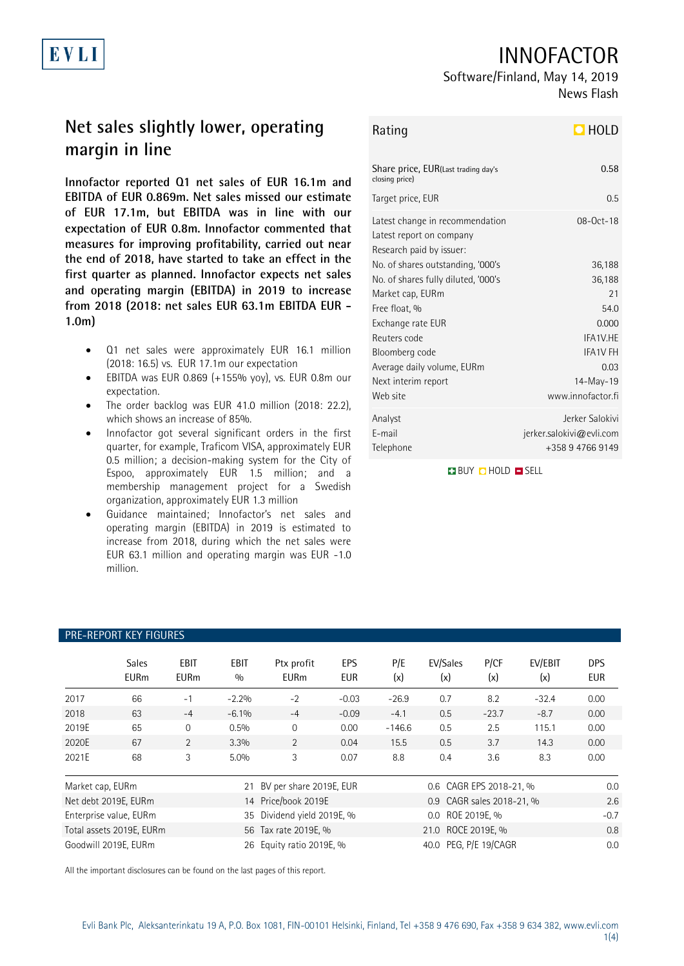

## INNOFACTOR

# Software/Finland, May 14, 2019

News Flash

## **Net sales slightly lower, operating margin in line**

**Innofactor reported Q1 net sales of EUR 16.1m and EBITDA of EUR 0.869m. Net sales missed our estimate of EUR 17.1m, but EBITDA was in line with our expectation of EUR 0.8m. Innofactor commented that measures for improving profitability, carried out near the end of 2018, have started to take an effect in the first quarter as planned. Innofactor expects net sales and operating margin (EBITDA) in 2019 to increase from 2018 (2018: net sales EUR 63.1m EBITDA EUR - 1.0m)**

- Q1 net sales were approximately EUR 16.1 million (2018: 16.5) vs. EUR 17.1m our expectation
- EBITDA was EUR 0.869 (+155% yoy), vs. EUR 0.8m our expectation.
- The order backlog was EUR 41.0 million (2018: 22.2), which shows an increase of 85%.
- Innofactor got several significant orders in the first quarter, for example, Traficom VISA, approximately EUR 0.5 million; a decision-making system for the City of Espoo, approximately EUR 1.5 million; and a membership management project for a Swedish organization, approximately EUR 1.3 million
- Guidance maintained; Innofactor's net sales and operating margin (EBITDA) in 2019 is estimated to increase from 2018, during which the net sales were EUR 63.1 million and operating margin was EUR -1.0 million.

PRE-REPORT KEY FIGURES

## Rating **HOLD**

| Share price, EUR(Last trading day's<br>closing price)                                   | 0.58                                                               |
|-----------------------------------------------------------------------------------------|--------------------------------------------------------------------|
| Target price, EUR                                                                       | 0.5                                                                |
| Latest change in recommendation<br>Latest report on company<br>Research paid by issuer: | $08 - 0ct - 18$                                                    |
| No. of shares outstanding, '000's                                                       | 36,188                                                             |
| No. of shares fully diluted, '000's                                                     | 36,188                                                             |
| Market cap, EURm                                                                        | 21                                                                 |
| Free float, %                                                                           | 54.0                                                               |
| Exchange rate EUR                                                                       | 0.000                                                              |
| Reuters code                                                                            | IFA1V.HE                                                           |
| Bloomberg code                                                                          | <b>IFA1V FH</b>                                                    |
| Average daily volume, EURm                                                              | 0.03                                                               |
| Next interim report                                                                     | 14-May-19                                                          |
| Web site                                                                                | www.innofactor.fi                                                  |
| Analyst<br>F-mail<br>Telephone                                                          | Jerker Salokivi<br>$j$ erker.salokivi@evli.com<br>+358 9 4766 9149 |

**BUY O HOLD O SELL** 

| THE HELOIN KET HOOHEJ    |                             |                            |                            |                           |                   |                    |                           |             |                |                          |
|--------------------------|-----------------------------|----------------------------|----------------------------|---------------------------|-------------------|--------------------|---------------------------|-------------|----------------|--------------------------|
|                          | <b>Sales</b><br><b>EURm</b> | <b>EBIT</b><br><b>EURm</b> | <b>EBIT</b><br>0/0         | Ptx profit<br><b>EURm</b> | EPS<br><b>EUR</b> | P/E<br>(x)         | EV/Sales<br>(x)           | P/CF<br>(x) | EV/EBIT<br>(x) | <b>DPS</b><br><b>EUR</b> |
| 2017                     | 66                          | $-1$                       | $-2.2%$                    | $-2$                      | $-0.03$           | $-26.9$            | 0.7                       | 8.2         | $-32.4$        | 0.00                     |
| 2018                     | 63                          | $-4$                       | $-6.1%$                    | $-4$                      | $-0.09$           | $-4.1$             | 0.5                       | $-23.7$     | $-8.7$         | 0.00                     |
| 2019E                    | 65                          | $\mathbf{0}$               | 0.5%                       | $\mathbf{0}$              | 0.00              | $-146.6$           | 0.5                       | 2.5         | 115.1          | 0.00                     |
| 2020E                    | 67                          | $\overline{2}$             | 3.3%                       | 2                         | 0.04              | 15.5               | 0.5                       | 3.7         | 14.3           | 0.00                     |
| 2021E                    | 68                          | 3                          | 5.0%                       | 3                         | 0.07              | 8.8                | 0.4                       | 3.6         | 8.3            | 0.00                     |
| Market cap, EURm         |                             |                            | 21                         | BV per share 2019E, EUR   |                   |                    | 0.6 CAGR EPS 2018-21, %   |             |                | $0.0\,$                  |
|                          | Net debt 2019E, EURm        |                            |                            | 14 Price/book 2019E       |                   |                    | 0.9 CAGR sales 2018-21, % |             |                | 2.6                      |
| Enterprise value, EURm   |                             |                            | 35 Dividend yield 2019E, % |                           |                   | 0.0 ROE 2019E, %   |                           |             | $-0.7$         |                          |
| Total assets 2019E, EURm |                             |                            | 56 Tax rate 2019E. %       |                           |                   | 21.0 ROCE 2019E. % |                           |             | 0.8            |                          |

Goodwill 2019E, EURm 26 Equity ratio 2019E, % 40.0 PEG, P/E 19/CAGR 0.0

All the important disclosures can be found on the last pages of this report.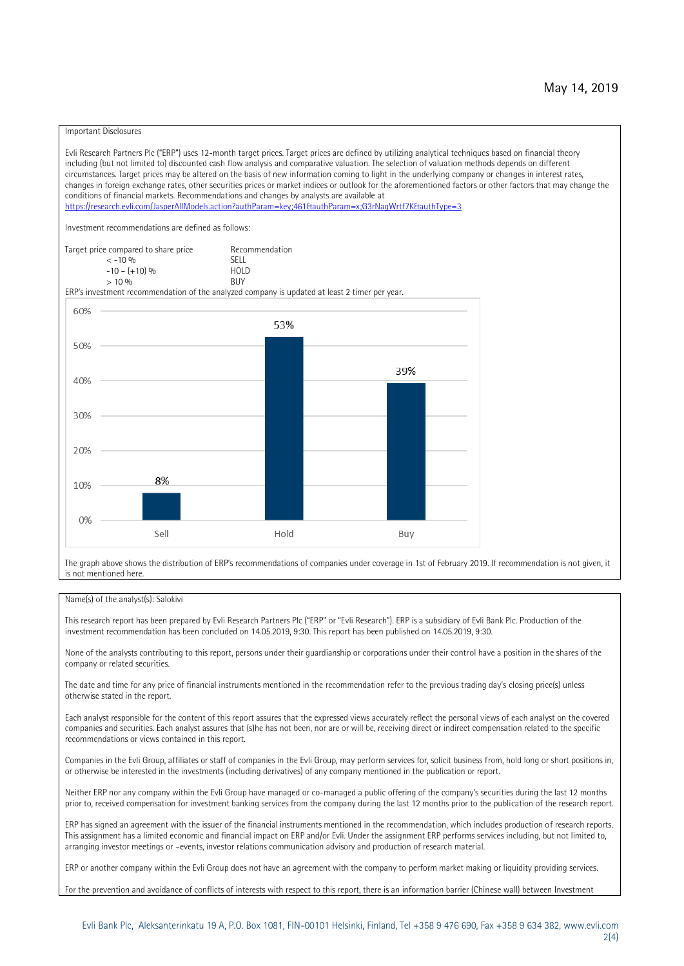#### Important Disclosures

Evli Research Partners Plc ("ERP") uses 12-month target prices. Target prices are defined by utilizing analytical techniques based on financial theory including (but not limited to) discounted cash flow analysis and comparative valuation. The selection of valuation methods depends on different circumstances. Target prices may be altered on the basis of new information coming to light in the underlying company or changes in interest rates, changes in foreign exchange rates, other securities prices or market indices or outlook for the aforementioned factors or other factors that may change the conditions of financial markets. Recommendations and changes by analysts are available at https://research.evli.com/JasperAllModels.action?authParam=key;461&tauthParam=x;G3rNagWrtf7K&tauthType=3 Investment recommendations are defined as follows: Target price compared to share price Recommendation<br>  $\leq$  -10 % < -10 % SELL  $-10 - (+10) \%$  HOL<br>  $> 10 \%$  RIJY  $> 10 \frac{0}{0}$ ERP's investment recommendation of the analyzed company is updated at least 2 timer per year. 60% 53% 50% 39% 40% 30% 20% 8% 10% 0% Sell Hold Buy

The graph above shows the distribution of ERP's recommendations of companies under coverage in 1st of February 2019. If recommendation is not given, it is not mentioned here.

#### Name(s) of the analyst(s): Salokivi

This research report has been prepared by Evli Research Partners Plc ("ERP" or "Evli Research"). ERP is a subsidiary of Evli Bank Plc. Production of the investment recommendation has been concluded on 14.05.2019, 9:30. This report has been published on 14.05.2019, 9:30.

None of the analysts contributing to this report, persons under their guardianship or corporations under their control have a position in the shares of the company or related securities.

The date and time for any price of financial instruments mentioned in the recommendation refer to the previous trading day's closing price(s) unless otherwise stated in the report.

Each analyst responsible for the content of this report assures that the expressed views accurately reflect the personal views of each analyst on the covered companies and securities. Each analyst assures that (s)he has not been, nor are or will be, receiving direct or indirect compensation related to the specific recommendations or views contained in this report.

Companies in the Evli Group, affiliates or staff of companies in the Evli Group, may perform services for, solicit business from, hold long or short positions in, or otherwise be interested in the investments (including derivatives) of any company mentioned in the publication or report.

Neither ERP nor any company within the Evli Group have managed or co-managed a public offering of the company's securities during the last 12 months prior to, received compensation for investment banking services from the company during the last 12 months prior to the publication of the research report.

ERP has signed an agreement with the issuer of the financial instruments mentioned in the recommendation, which includes production of research reports. This assignment has a limited economic and financial impact on ERP and/or Evli. Under the assignment ERP performs services including, but not limited to, arranging investor meetings or –events, investor relations communication advisory and production of research material.

ERP or another company within the Evli Group does not have an agreement with the company to perform market making or liquidity providing services.

For the prevention and avoidance of conflicts of interests with respect to this report, there is an information barrier (Chinese wall) between Investment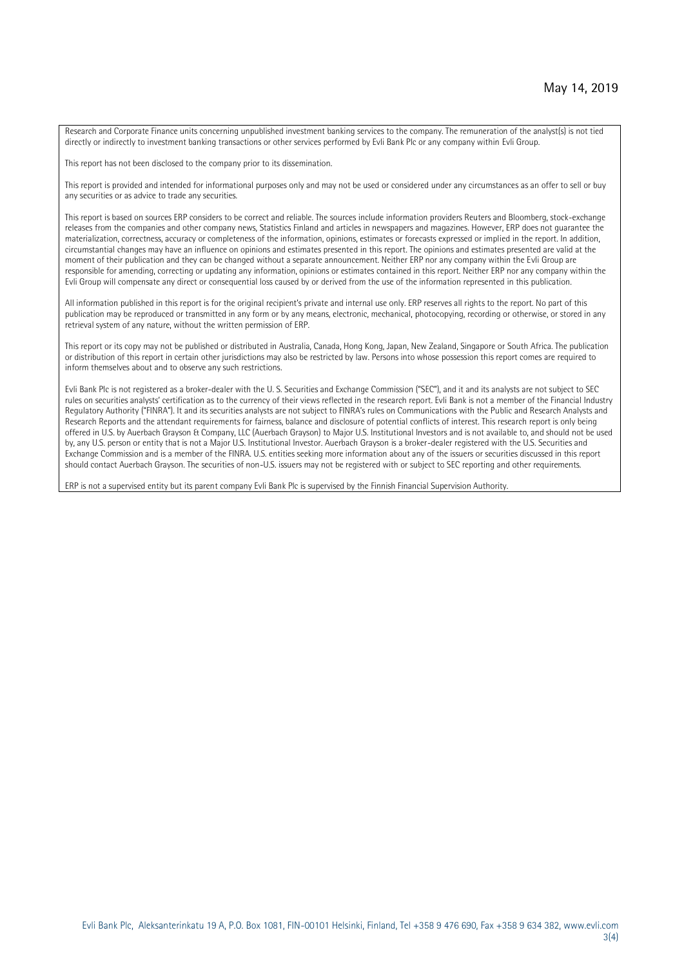Research and Corporate Finance units concerning unpublished investment banking services to the company. The remuneration of the analyst(s) is not tied directly or indirectly to investment banking transactions or other services performed by Evli Bank Plc or any company within Evli Group.

This report has not been disclosed to the company prior to its dissemination.

This report is provided and intended for informational purposes only and may not be used or considered under any circumstances as an offer to sell or buy any securities or as advice to trade any securities.

This report is based on sources ERP considers to be correct and reliable. The sources include information providers Reuters and Bloomberg, stock-exchange releases from the companies and other company news, Statistics Finland and articles in newspapers and magazines. However, ERP does not guarantee the materialization, correctness, accuracy or completeness of the information, opinions, estimates or forecasts expressed or implied in the report. In addition, circumstantial changes may have an influence on opinions and estimates presented in this report. The opinions and estimates presented are valid at the moment of their publication and they can be changed without a separate announcement. Neither ERP nor any company within the Evli Group are responsible for amending, correcting or updating any information, opinions or estimates contained in this report. Neither ERP nor any company within the Evli Group will compensate any direct or consequential loss caused by or derived from the use of the information represented in this publication.

All information published in this report is for the original recipient's private and internal use only. ERP reserves all rights to the report. No part of this publication may be reproduced or transmitted in any form or by any means, electronic, mechanical, photocopying, recording or otherwise, or stored in any retrieval system of any nature, without the written permission of ERP.

This report or its copy may not be published or distributed in Australia, Canada, Hong Kong, Japan, New Zealand, Singapore or South Africa. The publication or distribution of this report in certain other jurisdictions may also be restricted by law. Persons into whose possession this report comes are required to inform themselves about and to observe any such restrictions.

Evli Bank Plc is not registered as a broker-dealer with the U. S. Securities and Exchange Commission ("SEC"), and it and its analysts are not subject to SEC rules on securities analysts' certification as to the currency of their views reflected in the research report. Evli Bank is not a member of the Financial Industry Regulatory Authority ("FINRA"). It and its securities analysts are not subject to FINRA's rules on Communications with the Public and Research Analysts and Research Reports and the attendant requirements for fairness, balance and disclosure of potential conflicts of interest. This research report is only being offered in U.S. by Auerbach Grayson & Company, LLC (Auerbach Grayson) to Major U.S. Institutional Investors and is not available to, and should not be used by, any U.S. person or entity that is not a Major U.S. Institutional Investor. Auerbach Grayson is a broker-dealer registered with the U.S. Securities and Exchange Commission and is a member of the FINRA. U.S. entities seeking more information about any of the issuers or securities discussed in this report should contact Auerbach Grayson. The securities of non-U.S. issuers may not be registered with or subject to SEC reporting and other requirements.

ERP is not a supervised entity but its parent company Evli Bank Plc is supervised by the Finnish Financial Supervision Authority.